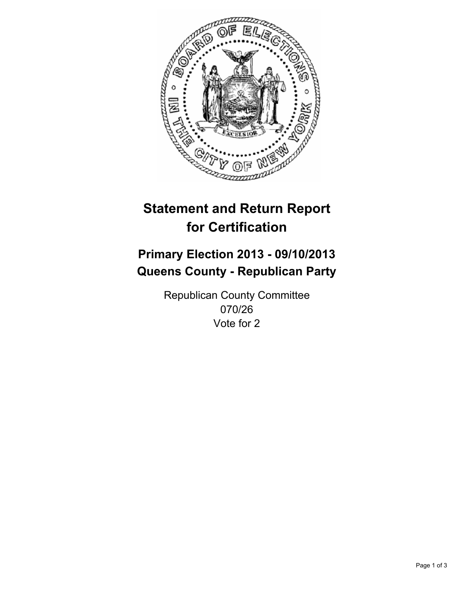

# **Statement and Return Report for Certification**

# **Primary Election 2013 - 09/10/2013 Queens County - Republican Party**

Republican County Committee 070/26 Vote for 2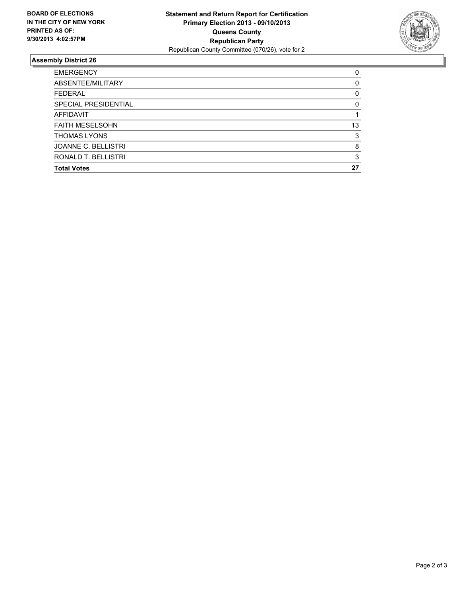

## **Assembly District 26**

| 0  |
|----|
| 0  |
| 0  |
| 0  |
|    |
| 13 |
| 3  |
| 8  |
| 3  |
| 27 |
|    |